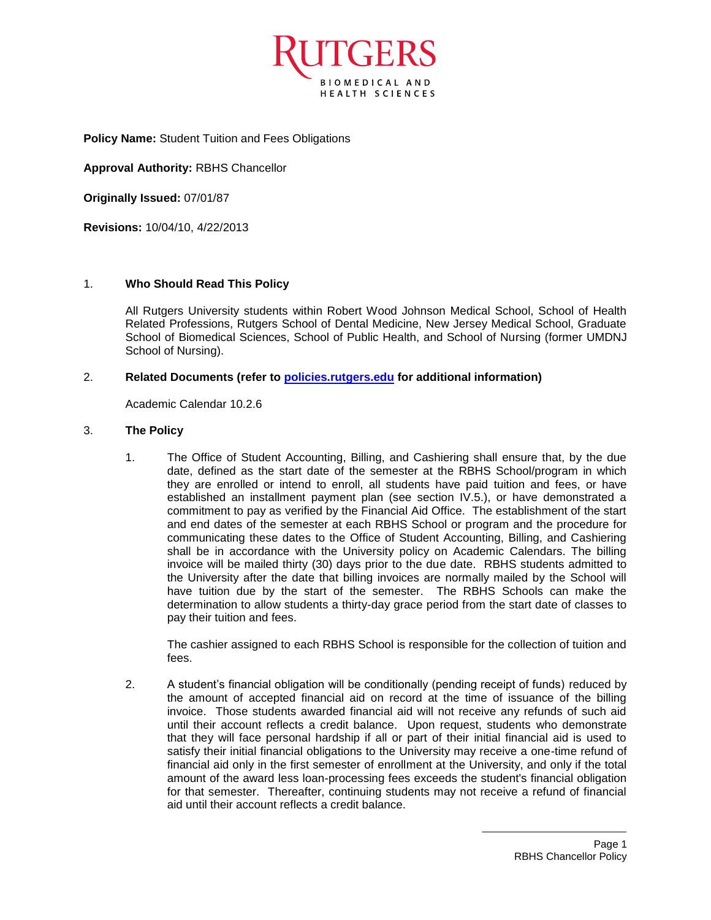

**Policy Name:** Student Tuition and Fees Obligations

**Approval Authority:** RBHS Chancellor

**Originally Issued:** 07/01/87

**Revisions:** 10/04/10, 4/22/2013

## 1. **Who Should Read This Policy**

All Rutgers University students within Robert Wood Johnson Medical School, School of Health Related Professions, Rutgers School of Dental Medicine, New Jersey Medical School, Graduate School of Biomedical Sciences, School of Public Health, and School of Nursing (former UMDNJ School of Nursing).

## 2. **Related Documents (refer to [policies.rutgers.edu](file:///C:/Users/rsedlackpr001/Documents/Rutgers/Policies/RBHS%20Policies/policies.rutgers.edu) for additional information)**

Academic Calendar 10.2.6

## 3. **The Policy**

1. The Office of Student Accounting, Billing, and Cashiering shall ensure that, by the due date, defined as the start date of the semester at the RBHS School/program in which they are enrolled or intend to enroll, all students have paid tuition and fees, or have established an installment payment plan (see section IV.5.), or have demonstrated a commitment to pay as verified by the Financial Aid Office. The establishment of the start and end dates of the semester at each RBHS School or program and the procedure for communicating these dates to the Office of Student Accounting, Billing, and Cashiering shall be in accordance with the University policy on Academic Calendars. The billing invoice will be mailed thirty (30) days prior to the due date. RBHS students admitted to the University after the date that billing invoices are normally mailed by the School will have tuition due by the start of the semester. The RBHS Schools can make the determination to allow students a thirty-day grace period from the start date of classes to pay their tuition and fees.

The cashier assigned to each RBHS School is responsible for the collection of tuition and fees.

2. A student's financial obligation will be conditionally (pending receipt of funds) reduced by the amount of accepted financial aid on record at the time of issuance of the billing invoice. Those students awarded financial aid will not receive any refunds of such aid until their account reflects a credit balance. Upon request, students who demonstrate that they will face personal hardship if all or part of their initial financial aid is used to satisfy their initial financial obligations to the University may receive a one-time refund of financial aid only in the first semester of enrollment at the University, and only if the total amount of the award less loan-processing fees exceeds the student's financial obligation for that semester. Thereafter, continuing students may not receive a refund of financial aid until their account reflects a credit balance.